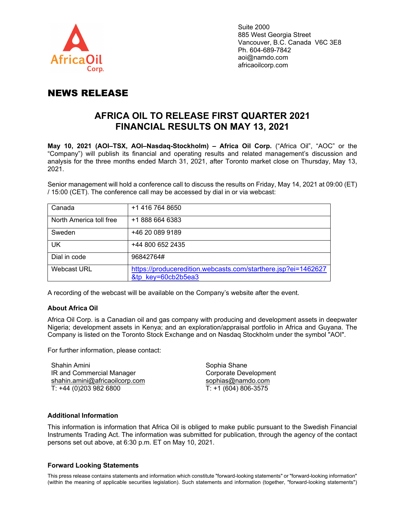

## NEWS RELEASE

# **AFRICA OIL TO RELEASE FIRST QUARTER 2021 FINANCIAL RESULTS ON MAY 13, 2021**

**May 10, 2021 (AOI–TSX, AOI–Nasdaq-Stockholm) – Africa Oil Corp.** ("Africa Oil", "AOC" or the "Company") will publish its financial and operating results and related management's discussion and analysis for the three months ended March 31, 2021, after Toronto market close on Thursday, May 13, 2021.

Senior management will hold a conference call to discuss the results on Friday, May 14, 2021 at 09:00 (ET) / 15:00 (CET). The conference call may be accessed by dial in or via webcast:

| Canada                  | +1 416 764 8650                                                                     |
|-------------------------|-------------------------------------------------------------------------------------|
| North America toll free | +1 888 664 6383                                                                     |
| Sweden                  | +46 20 089 9189                                                                     |
| <b>UK</b>               | +44 800 652 2435                                                                    |
| Dial in code            | 96842764#                                                                           |
| <b>Webcast URL</b>      | https://produceredition.webcasts.com/starthere.jsp?ei=1462627<br>&tp key=60cb2b5ea3 |

A recording of the webcast will be available on the Company's website after the event.

### **About Africa Oil**

Africa Oil Corp. is a Canadian oil and gas company with producing and development assets in deepwater Nigeria; development assets in Kenya; and an exploration/appraisal portfolio in Africa and Guyana. The Company is listed on the Toronto Stock Exchange and on Nasdaq Stockholm under the symbol "AOI".

For further information, please contact:

Shahin Amini IR and Commercial Manager [shahin.amini@africaoilcorp.com](mailto:shahin.amini@africaoilcorp.com) T: +44 (0)203 982 6800

Sophia Shane Corporate Development [sophias@namdo.com](mailto:sophias@namdo.com) T: +1 (604) 806-3575

### **Additional Information**

This information is information that Africa Oil is obliged to make public pursuant to the Swedish Financial Instruments Trading Act. The information was submitted for publication, through the agency of the contact persons set out above, at 6:30 p.m. ET on May 10, 2021.

#### **Forward Looking Statements**

This press release contains statements and information which constitute "forward-looking statements" or "forward-looking information" (within the meaning of applicable securities legislation). Such statements and information (together, "forward-looking statements")